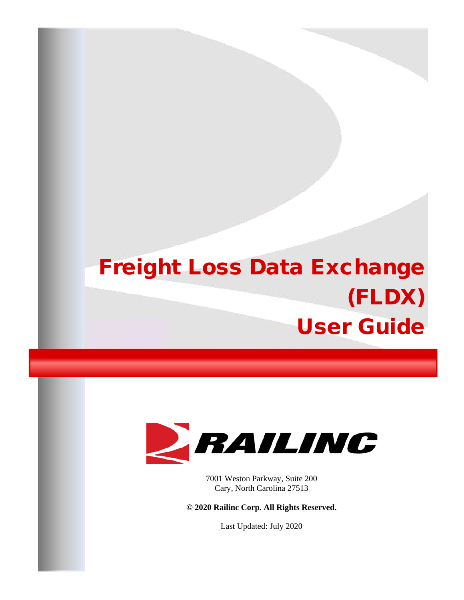# Freight Loss Data Exchange (FLDX) User Guide



7001 Weston Parkway, Suite 200 Cary, North Carolina 27513

**© 2020 Railinc Corp. All Rights Reserved.**

Last Updated: July 2020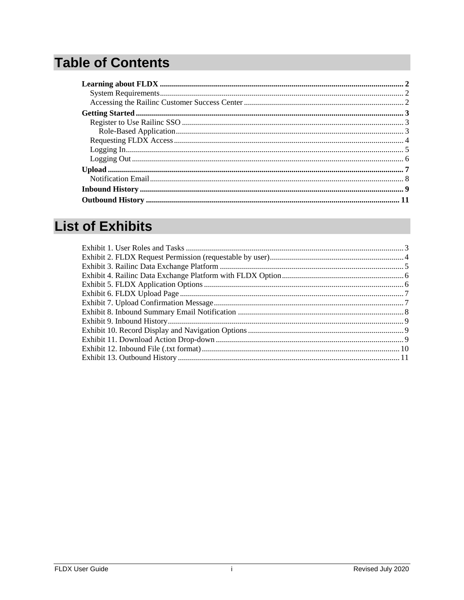# **Table of Contents**

# **List of Exhibits**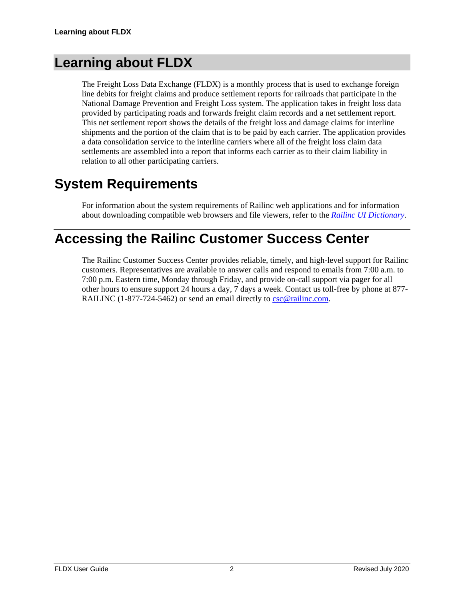# <span id="page-2-0"></span>**Learning about FLDX**

The Freight Loss Data Exchange (FLDX) is a monthly process that is used to exchange foreign line debits for freight claims and produce settlement reports for railroads that participate in the National Damage Prevention and Freight Loss system. The application takes in freight loss data provided by participating roads and forwards freight claim records and a net settlement report. This net settlement report shows the details of the freight loss and damage claims for interline shipments and the portion of the claim that is to be paid by each carrier. The application provides a data consolidation service to the interline carriers where all of the freight loss claim data settlements are assembled into a report that informs each carrier as to their claim liability in relation to all other participating carriers.

# <span id="page-2-1"></span>**System Requirements**

For information about the system requirements of Railinc web applications and for information about downloading compatible web browsers and file viewers, refer to the *[Railinc UI Dictionary](https://public.railinc.com/sites/default/files/documents/Railinc_UI_Dictionary.pdf)*.

## <span id="page-2-2"></span>**Accessing the Railinc Customer Success Center**

The Railinc Customer Success Center provides reliable, timely, and high-level support for Railinc customers. Representatives are available to answer calls and respond to emails from 7:00 a.m. to 7:00 p.m. Eastern time, Monday through Friday, and provide on-call support via pager for all other hours to ensure support 24 hours a day, 7 days a week. Contact us toll-free by phone at 877 RAILINC (1-877-724-5462) or send an email directly to [csc@railinc.com.](mailto:csc@railinc.com)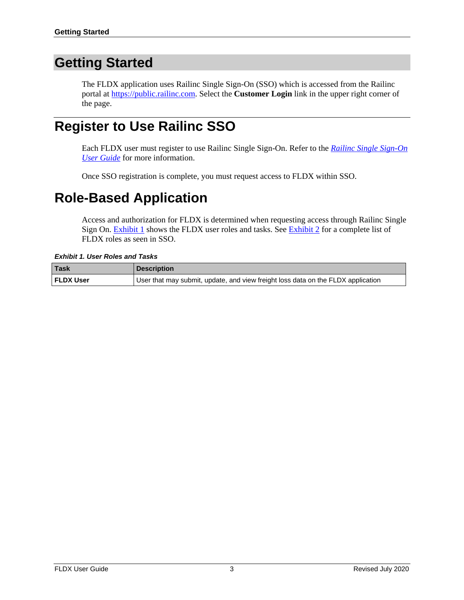### <span id="page-3-0"></span>**Getting Started**

The FLDX application uses Railinc Single Sign-On (SSO) which is accessed from the Railinc portal at [https://public.railinc.com.](https://public.railinc.com/) Select the **Customer Login** link in the upper right corner of the page.

### <span id="page-3-1"></span>**Register to Use Railinc SSO**

Each FLDX user must register to use Railinc Single Sign-On. Refer to the *[Railinc Single Sign-On](https://public.railinc.com/sites/default/files/documents/SSOUserGuide.pdf)  [User Guide](https://public.railinc.com/sites/default/files/documents/SSOUserGuide.pdf)* for more information.

Once SSO registration is complete, you must request access to FLDX within SSO.

# <span id="page-3-2"></span>**Role-Based Application**

Access and authorization for FLDX is determined when requesting access through Railinc Single Sign On. [Exhibit 1](#page-3-3) shows the FLDX user roles and tasks. See [Exhibit 2](#page-4-1) for a complete list of FLDX roles as seen in SSO.

<span id="page-3-3"></span>*Exhibit 1. User Roles and Tasks*

| <b>Task</b>      | <b>Description</b>                                                               |
|------------------|----------------------------------------------------------------------------------|
| <b>FLDX User</b> | User that may submit, update, and view freight loss data on the FLDX application |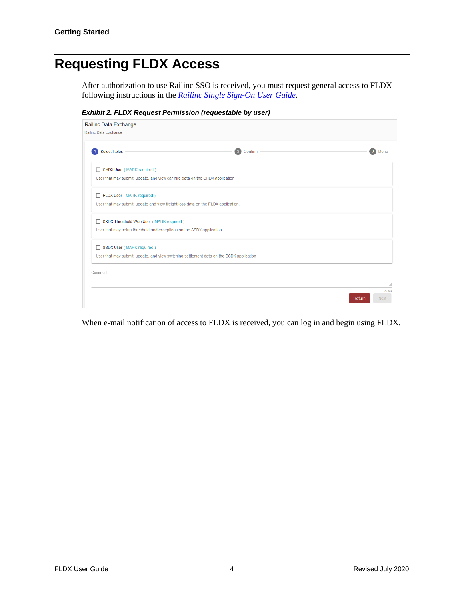### <span id="page-4-0"></span>**Requesting FLDX Access**

After authorization to use Railinc SSO is received, you must request general access to FLDX following instructions in the *[Railinc Single Sign-On User Guide](https://public.railinc.com/sites/default/files/documents/SSOUserGuide.pdf)*.

<span id="page-4-1"></span>*Exhibit 2. FLDX Request Permission (requestable by user)*

| Railinc Data Exchange                                                                                                 |         |                      |
|-----------------------------------------------------------------------------------------------------------------------|---------|----------------------|
| Railinc Data Exchange                                                                                                 |         |                      |
| <b>Select Roles</b>                                                                                                   | Confirm | Done                 |
| CHDX User (MARK required)<br>п<br>User that may submit, update, and view car hire data on the CHDX application        |         |                      |
| FLDX User (MARK required)<br>п<br>User that may submit, update and view freight loss data on the FLDX application.    |         |                      |
| SSDX Threshold Web User (MARK required)<br>П<br>User that may setup threshold and exceptions on the SSDX application  |         |                      |
| SSDX User (MARK required)<br>User that may submit, update, and view switching settlement data on the SSDX application |         |                      |
| Comments                                                                                                              |         | a.                   |
|                                                                                                                       | Return  | 0/255<br><b>Next</b> |

When e-mail notification of access to FLDX is received, you can log in and begin using FLDX.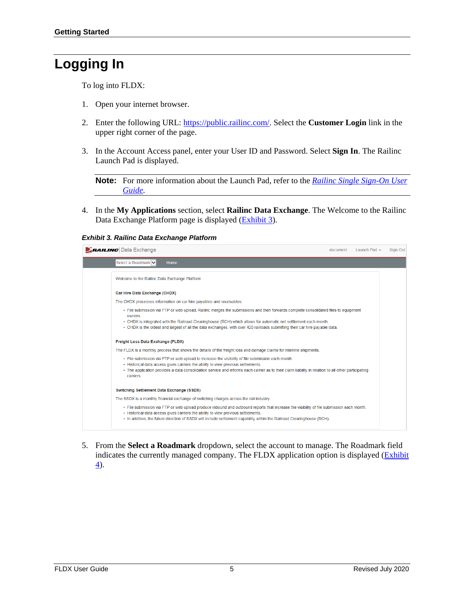# <span id="page-5-2"></span><span id="page-5-0"></span>**Logging In**

To log into FLDX:

- 1. Open your internet browser.
- 2. Enter the following URL: [https://public.railinc.com/.](https://public.railinc.com/) Select the **Customer Login** link in the upper right corner of the page.
- 3. In the Account Access panel, enter your User ID and Password. Select **Sign In**. The Railinc Launch Pad is displayed.

**Note:** For more information about the Launch Pad, refer to the *[Railinc Single Sign-On User](https://public.railinc.com/sites/default/files/documents/SSOUserGuide.pdf)  [Guide](https://public.railinc.com/sites/default/files/documents/SSOUserGuide.pdf)*.

4. In the **My Applications** section, select **Railinc Data Exchange**. The Welcome to the Railinc Data Exchange Platform page is displayed [\(Exhibit 3\)](#page-5-1).

### <span id="page-5-1"></span>*Exhibit 3. Railinc Data Exchange Platform*

| <b>RAILING</b> Data Exchange                                                                                                                                                                                                                                                                                                                               | document | Launch Pad - | <b>Sign Out</b> |
|------------------------------------------------------------------------------------------------------------------------------------------------------------------------------------------------------------------------------------------------------------------------------------------------------------------------------------------------------------|----------|--------------|-----------------|
| Select a Roadmark V<br>Home                                                                                                                                                                                                                                                                                                                                |          |              |                 |
| Welcome to the Railinc Data Exchange Platform                                                                                                                                                                                                                                                                                                              |          |              |                 |
| Car Hire Data Exchange (CHDX)                                                                                                                                                                                                                                                                                                                              |          |              |                 |
| The CHDX processes information on car hire payables and receivables.                                                                                                                                                                                                                                                                                       |          |              |                 |
| • File submission via FTP or web upload, Railinc merges the submissions and then forwards complete consolidated files to equipment<br>owners.                                                                                                                                                                                                              |          |              |                 |
| • CHDX is integrated with the Railroad Clearinghouse (RCH) which allows for automatic net settlement each month.<br>. CHDX is the oldest and largest of all the data exchanges, with over 420 railroads submitting their car hire payable data.                                                                                                            |          |              |                 |
| Freight Loss Data Exchange (FLDX)                                                                                                                                                                                                                                                                                                                          |          |              |                 |
| The FLDX is a monthly process that shows the details of the freight loss and damage claims for interline shipments.                                                                                                                                                                                                                                        |          |              |                 |
| • File submission via FTP or web upload to increase the visibility of file submission each month.<br>• Historical data access gives carriers the ability to view previous settlements.<br>• The application provides a data consolidation service and informs each carrier as to their claim liability in relation to all other participating<br>carriers. |          |              |                 |
| Switching Settlement Data Exchange (SSDX)                                                                                                                                                                                                                                                                                                                  |          |              |                 |
| The SSDX is a monthly financial exchange of switching charges across the rail industry.                                                                                                                                                                                                                                                                    |          |              |                 |
| • File submission via FTP or web upload produce inbound and outbound reports that increase the visibility of file submission each month.<br>• Historical data access gives carriers the ability to view previous settlements.<br>• In addition, the future direction of SSDX will include settlement capability within the Railroad Clearinghouse (RCH).   |          |              |                 |
|                                                                                                                                                                                                                                                                                                                                                            |          |              |                 |

5. From the **Select a Roadmark** dropdown, select the account to manage. The Roadmark field indicates the currently managed company. The FLDX application option is displayed (Exhibit [4\)](#page-5-2).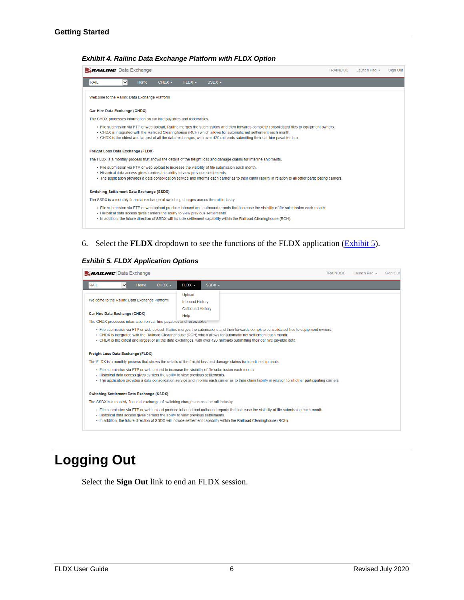### *Exhibit 4. Railinc Data Exchange Platform with FLDX Option*

| <b>BAILING</b> Data Exchange                                                                                                                                                                                                                                                                                                                                                                  | <b>TRAINDOC</b> | Launch Pad $\sim$ | Sign Out |
|-----------------------------------------------------------------------------------------------------------------------------------------------------------------------------------------------------------------------------------------------------------------------------------------------------------------------------------------------------------------------------------------------|-----------------|-------------------|----------|
| <b>RAIL</b><br>$CHDX -$<br>$FLDX -$<br>$SSDX -$<br>Home<br>◡                                                                                                                                                                                                                                                                                                                                  |                 |                   |          |
| Welcome to the Railinc Data Exchange Platform                                                                                                                                                                                                                                                                                                                                                 |                 |                   |          |
| Car Hire Data Exchange (CHDX)                                                                                                                                                                                                                                                                                                                                                                 |                 |                   |          |
| The CHDX processes information on car hire payables and receivables.                                                                                                                                                                                                                                                                                                                          |                 |                   |          |
| - File submission via FTP or web upload, Railinc merges the submissions and then forwards complete consolidated files to equipment owners.<br>• CHDX is integrated with the Railroad Clearinghouse (RCH) which allows for automatic net settlement each month.<br>. CHDX is the oldest and largest of all the data exchanges, with over 420 railroads submitting their car hire payable data. |                 |                   |          |
| Freight Loss Data Exchange (FLDX)                                                                                                                                                                                                                                                                                                                                                             |                 |                   |          |
| The FLDX is a monthly process that shows the details of the freight loss and damage claims for interline shipments.                                                                                                                                                                                                                                                                           |                 |                   |          |
| . File submission via FTP or web upload to increase the visibility of file submission each month.<br>• Historical data access gives carriers the ability to view previous settlements.<br>• The application provides a data consolidation service and informs each carrier as to their claim liability in relation to all other participating carriers.                                       |                 |                   |          |
| Switching Settlement Data Exchange (SSDX)                                                                                                                                                                                                                                                                                                                                                     |                 |                   |          |
| The SSDX is a monthly financial exchange of switching charges across the rail industry.                                                                                                                                                                                                                                                                                                       |                 |                   |          |
| • File submission via FTP or web upload produce inbound and outbound reports that increase the visibility of file submission each month.<br>• Historical data access gives carriers the ability to view previous settlements.<br>• In addition, the future direction of SSDX will include settlement capability within the Railroad Clearinghouse (RCH).                                      |                 |                   |          |

### 6. Select the **FLDX** dropdown to see the functions of the FLDX application [\(Exhibit 5\)](#page-6-1).

#### <span id="page-6-1"></span>*Exhibit 5. FLDX Application Options*

|             | <b>EXAILING</b> Data Exchange                                                                         |          |                                                      |          | <b>TRAINDOC</b>                                                                                                                                                                                                                                                                                                                                                                               | Launch Pad $\sim$ | Sign Out |
|-------------|-------------------------------------------------------------------------------------------------------|----------|------------------------------------------------------|----------|-----------------------------------------------------------------------------------------------------------------------------------------------------------------------------------------------------------------------------------------------------------------------------------------------------------------------------------------------------------------------------------------------|-------------------|----------|
| <b>RAIL</b> | Home<br>$\checkmark$                                                                                  | $CHDX -$ | $FLDX -$                                             | $SSDX -$ |                                                                                                                                                                                                                                                                                                                                                                                               |                   |          |
|             | Welcome to the Railinc Data Exchange Platform                                                         |          | Upload<br><b>Inbound History</b><br>Outbound History |          |                                                                                                                                                                                                                                                                                                                                                                                               |                   |          |
|             | Car Hire Data Exchange (CHDX)<br>The CHDX processes information on car hire payables and receivables. |          | Help                                                 |          |                                                                                                                                                                                                                                                                                                                                                                                               |                   |          |
|             |                                                                                                       |          |                                                      |          | . File submission via FTP or web upload. Railinc merges the submissions and then forwards complete consolidated files to equipment owners.<br>• CHDX is integrated with the Railroad Clearinghouse (RCH) which allows for automatic net settlement each month.<br>. CHDX is the oldest and largest of all the data exchanges, with over 420 railroads submitting their car hire payable data. |                   |          |
|             | Freight Loss Data Exchange (FLDX)                                                                     |          |                                                      |          |                                                                                                                                                                                                                                                                                                                                                                                               |                   |          |
|             |                                                                                                       |          |                                                      |          | The FLDX is a monthly process that shows the details of the freight loss and damage claims for interline shipments.                                                                                                                                                                                                                                                                           |                   |          |
|             | • Historical data access gives carriers the ability to view previous settlements.                     |          |                                                      |          | - File submission via FTP or web upload to increase the visibility of file submission each month.<br>• The application provides a data consolidation service and informs each carrier as to their claim liability in relation to all other participating carriers.                                                                                                                            |                   |          |
|             | <b>Switching Settlement Data Exchange (SSDX)</b>                                                      |          |                                                      |          |                                                                                                                                                                                                                                                                                                                                                                                               |                   |          |
|             | The SSDX is a monthly financial exchange of switching charges across the rail industry.               |          |                                                      |          |                                                                                                                                                                                                                                                                                                                                                                                               |                   |          |
|             | • Historical data access gives carriers the ability to view previous settlements.                     |          |                                                      |          | . File submission via FTP or web upload produce inbound and outbound reports that increase the visibility of file submission each month.<br>• In addition, the future direction of SSDX will include settlement capability within the Railroad Clearinghouse (RCH).                                                                                                                           |                   |          |

# <span id="page-6-0"></span>**Logging Out**

Select the **Sign Out** link to end an FLDX session.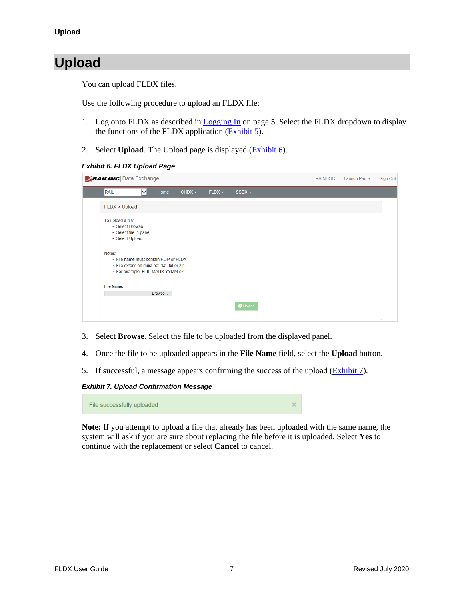# <span id="page-7-0"></span>**Upload**

You can upload FLDX files.

Use the following procedure to upload an FLDX file:

- 1. Log onto FLDX as described in [Logging In](#page-5-0) on page [5.](#page-5-0) Select the FLDX dropdown to display the functions of the FLDX application [\(Exhibit 5\)](#page-6-1).
- 2. Select **Upload**. The Upload page is displayed [\(Exhibit 6\)](#page-7-1).

### <span id="page-7-1"></span>*Exhibit 6. FLDX Upload Page*

| <b>ZRAILING</b> Data Exchange                                                                                                     |                      |        |          |          |          | <b>TRAINDOC</b> | Launch Pad $\sim$ | Sign Out |
|-----------------------------------------------------------------------------------------------------------------------------------|----------------------|--------|----------|----------|----------|-----------------|-------------------|----------|
| <b>RAIL</b>                                                                                                                       | $\ddot{\phantom{1}}$ | Home   | $CHDX -$ | $FLDX -$ | $SSDX -$ |                 |                   |          |
| FLDX > Upload                                                                                                                     |                      |        |          |          |          |                 |                   |          |
| To upload a file:<br>• Select Browse<br>· Select file in panel<br>· Select Upload                                                 |                      |        |          |          |          |                 |                   |          |
| Notes:<br>• File name must contain FLIP or FLDX<br>• File extension must be: dat, txt or zip<br>· For example: FLIP.MARK.YYMM.ext |                      |        |          |          |          |                 |                   |          |
| <b>File Name:</b>                                                                                                                 |                      | Browse |          |          |          |                 |                   |          |
|                                                                                                                                   |                      |        |          |          | O Upload |                 |                   |          |

- 3. Select **Browse**. Select the file to be uploaded from the displayed panel.
- 4. Once the file to be uploaded appears in the **File Name** field, select the **Upload** button.
- 5. If successful, a message appears confirming the success of the upload [\(Exhibit 7\)](#page-7-2).

<span id="page-7-2"></span>*Exhibit 7. Upload Confirmation Message*

File successfully uploaded

**Note:** If you attempt to upload a file that already has been uploaded with the same name, the system will ask if you are sure about replacing the file before it is uploaded. Select **Yes** to continue with the replacement or select **Cancel** to cancel.

×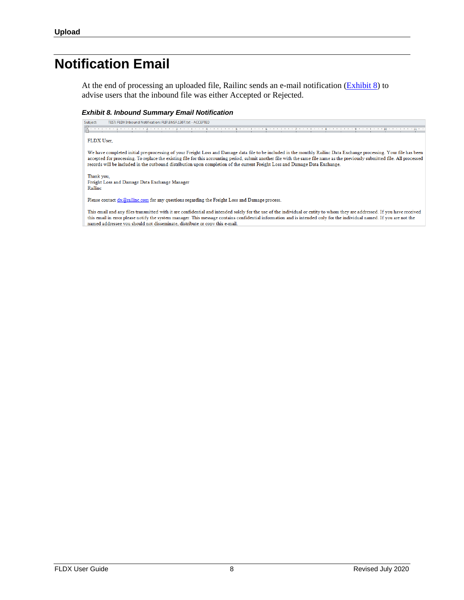### <span id="page-8-0"></span>**Notification Email**

At the end of processing an uploaded file, Railinc sends an e-mail notification [\(Exhibit 8\)](#page-8-1) to advise users that the inbound file was either Accepted or Rejected.

#### <span id="page-8-1"></span>*Exhibit 8. Inbound Summary Email Notification*

TEST: FLDX Inbound Notification: FLIP.BNSF.1307.txt - ACCEPTED Subject:

#### FLDX User,

We have completed initial pre-processing of your Freight Loss and Damage data file to be included in the monthly Railinc Data Exchange processing. Your file has been accepted for processing. To replace the existing file for this accounting period, submit another file with the same file name as the previously submitted file. All processed records will be included in the outbound distribution upon completion of the current Freight Loss and Damage Data Exchange.

Thank you, Freight Loss and Damage Data Exchange Manager Railinc

Please contact dx@railinc.com for any questions regarding the Freight Loss and Damage process.

This email and any files transmitted with it are confidential and intended solely for the use of the individual or entity to whom they are addressed. If you have received this email in error please notify the system manager. This message contains confidential information and is intended only for the individual named. If you are not the named addressee you should not disseminate, distribute or copy this e-mail.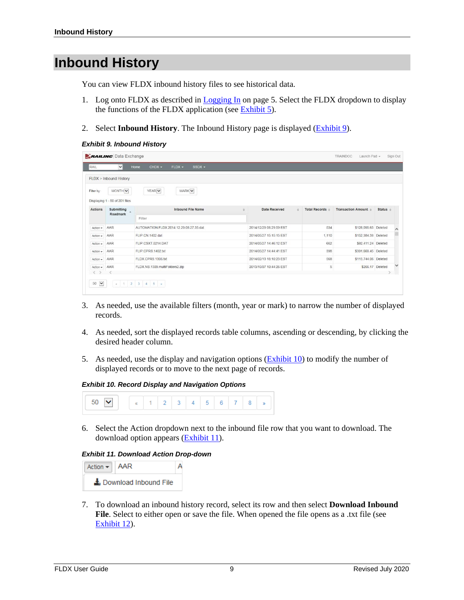### <span id="page-9-4"></span><span id="page-9-0"></span>**Inbound History**

You can view FLDX inbound history files to see historical data.

- 1. Log onto FLDX as described in  $Logging In$  on page [5.](#page-5-0) Select the FLDX dropdown to display the functions of the FLDX application (see [Exhibit 5\)](#page-6-1).
- 2. Select **Inbound History**. The Inbound History page is displayed [\(Exhibit 9\)](#page-9-1).

#### <span id="page-9-1"></span>*Exhibit 9. Inbound History*

|                | <b>BAILING</b> Data Exchange                           |                                         |                         |             |                 | TRAINDOC<br>Launch Pad $\star$ |            | Sign Out     |
|----------------|--------------------------------------------------------|-----------------------------------------|-------------------------|-------------|-----------------|--------------------------------|------------|--------------|
| RAIL           | $\vee$                                                 | CHDX -<br>FLDX -<br>Home<br>$SSDX -$    |                         |             |                 |                                |            |              |
|                | FLDX > Inbound History                                 |                                         |                         |             |                 |                                |            |              |
| Filter by:     | MONTH V                                                | MARK V<br>YEAR V                        |                         |             |                 |                                |            |              |
| <b>Actions</b> | Displaying 1 - 50 of 201 files<br>Submitting<br>$\sim$ | <b>Inbound File Name</b>                | <b>Date Received</b>    | $\triangle$ | Total Records ± | Transaction Amount =           | Status $=$ |              |
|                | Roadmark                                               | Filter                                  |                         |             |                 |                                |            |              |
| Action *       | AAR                                                    | AUTOMATION.FLDX.2014.12.29.08.27.35.dat | 2014/12/29 08:29:59 EST |             | 534             | \$128,095.65 Deleted           |            | $\wedge$     |
| Action -       | AAR                                                    | FLIP.CN.1402.dat                        | 2014/05/27 15:15:15 EST |             | 1.110           | \$152,384.38 Deleted           |            |              |
| $Action -$     | AAR                                                    | FLIP.CSXT.0214.DAT                      | 2014/05/27 14:46:12 EST |             | 662             | \$92,411.24 Deleted            |            |              |
| $Action -$     | AAR                                                    | FLIP.CPRS.1402.txt                      | 2014/05/27 14:44:41 EST |             | 398             | \$391,668.45 Deleted           |            |              |
| $Action -$     | AAR                                                    | FLDX.CPRS.1306.txt                      | 2014/02/13 18:10:23 EST |             | 568             | \$115,744.06 Deleted           |            |              |
| $Action -$     | <b>AAR</b>                                             | FLDX.NS.1309.multiFolders2.zip          | 2013/10/07 10:44:26 EST |             | 5               | \$266.17 Deleted               |            | $\checkmark$ |
|                |                                                        |                                         |                         |             |                 |                                |            |              |

- 3. As needed, use the available filters (month, year or mark) to narrow the number of displayed records.
- 4. As needed, sort the displayed records table columns, ascending or descending, by clicking the desired header column.
- 5. As needed, use the display and navigation options [\(Exhibit 10\)](#page-9-2) to modify the number of displayed records or to move to the next page of records.

#### *Exhibit 10. Record Display and Navigation Options*

<span id="page-9-2"></span>

6. Select the Action dropdown next to the inbound file row that you want to download. The download option appears [\(Exhibit 11\)](#page-9-3).

#### <span id="page-9-3"></span>*Exhibit 11. Download Action Drop-down*



7. To download an inbound history record, select its row and then select **Download Inbound**  File. Select to either open or save the file. When opened the file opens as a .txt file (see [Exhibit 12\)](#page-9-4).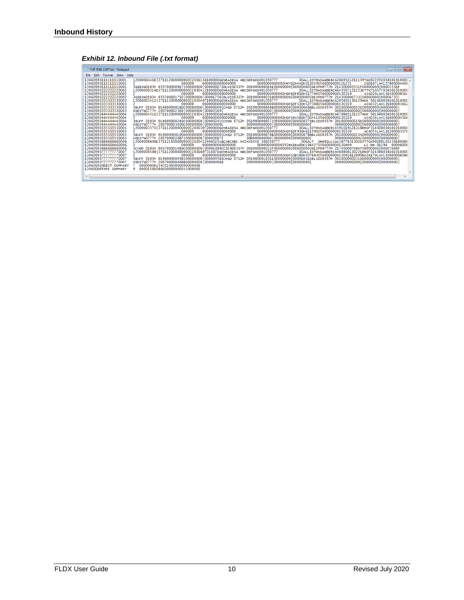### *Exhibit 12. Inbound File (.txt format)*

| FLIP RAIL 1307.txt - Notepad                                                                                                                                                                                                                                                                                                                                                                                                                                                                                                                                                                                                                                         |                                                                                                                                                                                                                                                                                                                                                                                                                                                                                                                                                                                                                                                                                                                                                                                                                                                                                                                                                                                                                                                                                                                                                                                                                                                                                                                                                                                                                                                                                                                                                                                                                                                                                                                                                                                                                                                                                                                                                                                                                                                                                                                                                                                                                                                                                                                                                                                                                                                                                                                                                                                                                                                                                                                                                                                                                                                                                                                                                                                                                                                                                                                                                                                     | $\begin{array}{c c c c c c c} \hline \multicolumn{3}{c }{\mathbf{C}} & \multicolumn{3}{c }{\mathbf{X}} \end{array}$ |
|----------------------------------------------------------------------------------------------------------------------------------------------------------------------------------------------------------------------------------------------------------------------------------------------------------------------------------------------------------------------------------------------------------------------------------------------------------------------------------------------------------------------------------------------------------------------------------------------------------------------------------------------------------------------|-------------------------------------------------------------------------------------------------------------------------------------------------------------------------------------------------------------------------------------------------------------------------------------------------------------------------------------------------------------------------------------------------------------------------------------------------------------------------------------------------------------------------------------------------------------------------------------------------------------------------------------------------------------------------------------------------------------------------------------------------------------------------------------------------------------------------------------------------------------------------------------------------------------------------------------------------------------------------------------------------------------------------------------------------------------------------------------------------------------------------------------------------------------------------------------------------------------------------------------------------------------------------------------------------------------------------------------------------------------------------------------------------------------------------------------------------------------------------------------------------------------------------------------------------------------------------------------------------------------------------------------------------------------------------------------------------------------------------------------------------------------------------------------------------------------------------------------------------------------------------------------------------------------------------------------------------------------------------------------------------------------------------------------------------------------------------------------------------------------------------------------------------------------------------------------------------------------------------------------------------------------------------------------------------------------------------------------------------------------------------------------------------------------------------------------------------------------------------------------------------------------------------------------------------------------------------------------------------------------------------------------------------------------------------------------------------------------------------------------------------------------------------------------------------------------------------------------------------------------------------------------------------------------------------------------------------------------------------------------------------------------------------------------------------------------------------------------------------------------------------------------------------------------------------------------|---------------------------------------------------------------------------------------------------------------------|
|                                                                                                                                                                                                                                                                                                                                                                                                                                                                                                                                                                                                                                                                      |                                                                                                                                                                                                                                                                                                                                                                                                                                                                                                                                                                                                                                                                                                                                                                                                                                                                                                                                                                                                                                                                                                                                                                                                                                                                                                                                                                                                                                                                                                                                                                                                                                                                                                                                                                                                                                                                                                                                                                                                                                                                                                                                                                                                                                                                                                                                                                                                                                                                                                                                                                                                                                                                                                                                                                                                                                                                                                                                                                                                                                                                                                                                                                                     |                                                                                                                     |
| File Edit Format View Help                                                                                                                                                                                                                                                                                                                                                                                                                                                                                                                                                                                                                                           |                                                                                                                                                                                                                                                                                                                                                                                                                                                                                                                                                                                                                                                                                                                                                                                                                                                                                                                                                                                                                                                                                                                                                                                                                                                                                                                                                                                                                                                                                                                                                                                                                                                                                                                                                                                                                                                                                                                                                                                                                                                                                                                                                                                                                                                                                                                                                                                                                                                                                                                                                                                                                                                                                                                                                                                                                                                                                                                                                                                                                                                                                                                                                                                     |                                                                                                                     |
| 130609931111111110001<br>13060993111111110001<br>130609931111111110001<br>13060993222222220002<br>13060993222222220002<br>13060993222222220002<br>13060993333333330003<br>13060993333333330003<br>13060993333333330003<br>13060993333333330003<br>13060993444444440004<br>13060993444444440004<br>13060993444444440004<br>13060993444444440004<br>13060993555555550005<br>13060993555555550005<br>13060993555555550005<br>13060993555555550005<br>1306099366666660006<br>1306099366666660006<br>1306099366666660006<br>13060993777777770007<br>13060993777777770007<br>13060993777777770007<br>13060993777777770007<br>13060993DEBIT SUMMARY<br>13060000TAPE SUMMARY | 00ALLISTONSANBERCA204951121113TTGX92220103410191000(<br>12000004466{371112000000000{2031134100000GENRAIEXA ABCDEFGHI401050777<br>0000000000000000<br>0000000000002HNYD2H4XDH5120290560000000121231<br>2G0167LA4127800004466<br>000000<br>3GIBSN0105M 055700000917100000000{00000917IBLUIS0357M 001000000016E00000000{0000000{DESTN0777M 214300003531F00000000{00003531F<br>00ALLISTONSANBERCA643597121223ETTX710577034101910000<br>12000008514D371112000000000{2030412100000GENRAIEXA ABCDEFGHI401050777<br>0000000000000000<br>0000000000002HGFB2F80DH5177040560000000130319<br>000000<br>AIA026LA4131400008514<br>3GIBSN0105M 055700001750{00000000{00001750{BLUIS0357M 001000000031D00000000{00000000{DESTN0777M 214300006733{00000000{00006733{<br>12000003412{371112000000000{2030407100000GENRAIEXA ABCDEFGHI401050777<br>00ALLISTONSANBERCA205492130129AOK 501610034101910000<br>and the control<br>0000000000000000<br>0000000000002HGFB2F53DH5273880560000000130319<br>000000<br>AIA032LA4131600003412<br>3BUFF 0105M 014600000182c00000000{0000000{cHGO 0712M 051900000648B0000000{00000648BBLUIS0357M 001000000012E00000000{0000000}<br>000000000000{00000000{0000000}<br>000000000000{00000000}0000000}<br>4DESTN0777M 205700002569{00000000{00002569{<br>12000004516{37111200000000}2030412100000GENRAIEXA ABCDEFGHI401050777<br>00ALLISTONSANBERCA670841121227AOK 501946034101910000<br>000000<br>0000000000000000<br>0000000000002HGFG4A58DH7004410560000000130319<br>ATA034LA4131600004516<br>3BUFF 0105M 014600000241c00000000{00000241ccHGO 0712M 051900000857100000000{00000857IBLUIS0357M 001000000016E00000000{0000000}<br>000000000000{00000000{00000000}<br>000000000000{00000000}00000000}<br>4DESTN0777M 205700003400C00000000{00003400C<br>12000003570f37111200000000f2030307200000GENRAIEXA ABCDEFGHI401050777<br>00ALLISTONSANBERCA591019121218BNSF314608034101910000<br>0000000000002HGFB2F93DH5115960560000000130330<br>0000000000000000<br>000000<br>ACA055LA4131200003570<br>3BUFF 0105M 014600000190H00000000{0000000{CHGO 0712M 051900000678B0000000{00000678BBLUI50357M 001000000013A0000000{0000000}<br>000000000000{00000000}00000000}<br>000000000000{00000000}00000000}<br>4DESTN0777M 2057000026871000000000000026871<br>12000008606E371121500000000{2030412406025ABCABCABC XYZXYZXYZ 301050777<br>00GALT ONORTLLTWA387763130214TTGX99260103230160066<br>0000000000000000<br>0000000000002T2BK1BA8DC1944270560000000130409<br>000000<br>L1-BN-01294 0000860<br>3CHGO 0105M 045700001489C00000000{00001489CCICRO0357M 001000000032F00000000{00000000{DESTN0777M 217400007084F00000000{00007084F<br>12000008588{371112000000000{2031607316071GENRAIEXA ABCDEFGHI401050777<br>00ALLISTONSANBERCA460406130221BNSF314386034101910000<br>0000000000000000<br>000000000002HGFG3B58DH5076830560000000130416120906A2A170LA4132600008588<br>000000<br>3BUFF 0105M 014600000458100000000600004581CHGO 0712M 051900001631E0000000060001631EBLUIS0357M 001000000031D00000000600000006<br>000000000000{00000000{0000000}<br>4DESTN0777M 205700006466B00000000100006466B<br>00000006254c01050000000000006<br>00001581086E00000000542000000<br>$\mathbf{Q}$ |                                                                                                                     |
|                                                                                                                                                                                                                                                                                                                                                                                                                                                                                                                                                                                                                                                                      | m                                                                                                                                                                                                                                                                                                                                                                                                                                                                                                                                                                                                                                                                                                                                                                                                                                                                                                                                                                                                                                                                                                                                                                                                                                                                                                                                                                                                                                                                                                                                                                                                                                                                                                                                                                                                                                                                                                                                                                                                                                                                                                                                                                                                                                                                                                                                                                                                                                                                                                                                                                                                                                                                                                                                                                                                                                                                                                                                                                                                                                                                                                                                                                                   |                                                                                                                     |
|                                                                                                                                                                                                                                                                                                                                                                                                                                                                                                                                                                                                                                                                      |                                                                                                                                                                                                                                                                                                                                                                                                                                                                                                                                                                                                                                                                                                                                                                                                                                                                                                                                                                                                                                                                                                                                                                                                                                                                                                                                                                                                                                                                                                                                                                                                                                                                                                                                                                                                                                                                                                                                                                                                                                                                                                                                                                                                                                                                                                                                                                                                                                                                                                                                                                                                                                                                                                                                                                                                                                                                                                                                                                                                                                                                                                                                                                                     |                                                                                                                     |